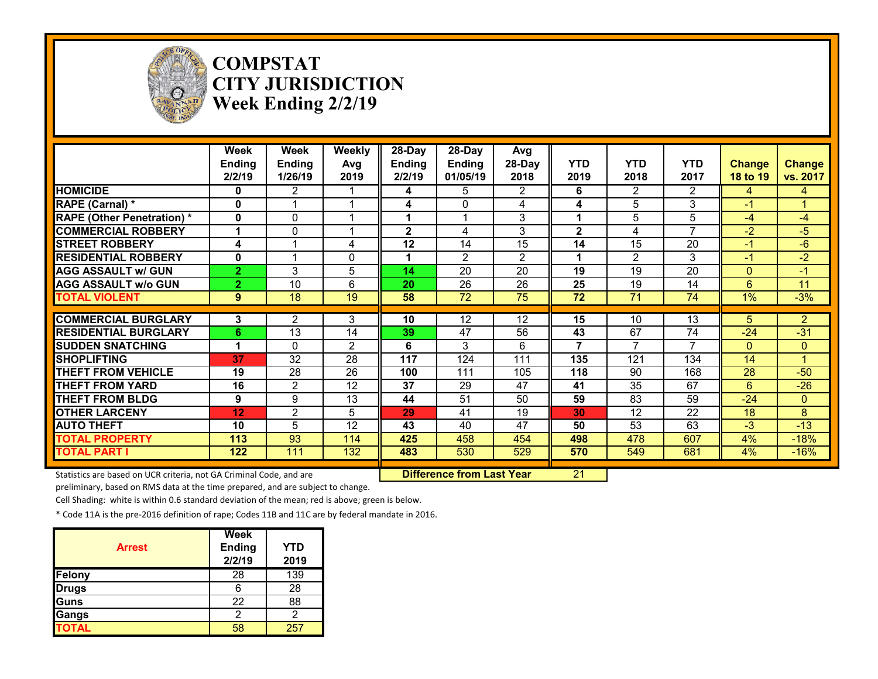

**COMPSTAT CITY JURISDICTION Week Ending 2/2/19**

|                                                                     | Week<br><b>Ending</b><br>2/2/19 | Week<br><b>Ending</b><br>1/26/19 | Weekly<br>Avg<br>2019 | 28-Day<br><b>Ending</b><br>2/2/19 | $28-Day$<br><b>Ending</b><br>01/05/19 | Avg<br>28-Day<br>2018 | <b>YTD</b><br>2019 | <b>YTD</b><br>2018 | <b>YTD</b><br>2017 | <b>Change</b><br>18 to 19 | <b>Change</b><br>vs. 2017 |
|---------------------------------------------------------------------|---------------------------------|----------------------------------|-----------------------|-----------------------------------|---------------------------------------|-----------------------|--------------------|--------------------|--------------------|---------------------------|---------------------------|
| <b>HOMICIDE</b>                                                     | 0                               | $\overline{2}$                   |                       | 4                                 | 5                                     | $\overline{2}$        | 6                  | $\overline{2}$     | $\overline{2}$     | 4                         | 4                         |
| RAPE (Carnal) *                                                     | 0                               |                                  |                       | 4                                 | $\Omega$                              | 4                     | 4                  | 5                  | 3                  | -1                        |                           |
| <b>RAPE (Other Penetration)*</b>                                    | 0                               | $\Omega$                         |                       |                                   |                                       | 3                     | 1                  | 5                  | 5                  | $-4$                      | $-4$                      |
| <b>COMMERCIAL ROBBERY</b>                                           |                                 | 0                                |                       | 2                                 | 4                                     | 3                     | $\mathbf{2}$       | 4                  | 7                  | -2                        | $-5$                      |
| <b>STREET ROBBERY</b>                                               | 4                               |                                  | 4                     | $\overline{12}$                   | 14                                    | $\overline{15}$       | 14                 | $\overline{15}$    | $\overline{20}$    | $-1$                      | $-6$                      |
| <b>RESIDENTIAL ROBBERY</b>                                          | $\mathbf{0}$                    |                                  | $\Omega$              |                                   | 2                                     | $\overline{2}$        | 1                  | $\overline{2}$     | 3                  | $-1$                      | $-2$                      |
| <b>AGG ASSAULT w/ GUN</b>                                           | $\overline{2}$                  | 3                                | 5                     | 14                                | 20                                    | 20                    | 19                 | 19                 | $\overline{20}$    | $\Omega$                  | $-1$                      |
| <b>AGG ASSAULT W/o GUN</b>                                          | $\overline{2}$                  | $\overline{10}$                  | 6                     | 20                                | 26                                    | $\overline{26}$       | 25                 | $\overline{19}$    | 14                 | 6                         | 11                        |
| <b>TOTAL VIOLENT</b>                                                | 9                               | 18                               | 19                    | 58                                | 72                                    | 75                    | 72                 | 71                 | 74                 | $1\%$                     | $-3%$                     |
| <b>COMMERCIAL BURGLARY</b>                                          | 3                               | 2                                | 3                     | 10                                | 12                                    | 12                    | 15                 | 10                 | 13                 | 5                         | $\overline{2}$            |
| <b>RESIDENTIAL BURGLARY</b>                                         | 6                               | 13                               | 14                    | 39                                | 47                                    | 56                    | 43                 | 67                 | 74                 | $-24$                     | $-31$                     |
| <b>SUDDEN SNATCHING</b>                                             |                                 | $\Omega$                         | $\overline{2}$        | 6                                 | 3                                     | 6                     |                    |                    |                    | $\Omega$                  | $\Omega$                  |
| <b>SHOPLIFTING</b>                                                  | 37                              | 32                               | 28                    | 117                               | 124                                   | 111                   | 135                | 121                | 134                | 14                        |                           |
| <b>THEFT FROM VEHICLE</b>                                           | 19                              | 28                               | 26                    | 100                               | 111                                   | 105                   | 118                | 90                 | 168                | 28                        | $-50$                     |
| <b>THEFT FROM YARD</b>                                              | 16                              | $\overline{2}$                   | 12                    | $\overline{37}$                   | 29                                    | 47                    | 41                 | 35                 | 67                 | 6                         | $-26$                     |
| <b>THEFT FROM BLDG</b>                                              | 9                               | 9                                | 13                    | 44                                | 51                                    | 50                    | 59                 | 83                 | 59                 | $-24$                     | $\Omega$                  |
| <b>OTHER LARCENY</b>                                                | 12                              | $\overline{c}$                   | 5                     | 29                                | 41                                    | 19                    | 30                 | $\overline{12}$    | $\overline{22}$    | 18                        | 8                         |
| <b>AUTO THEFT</b>                                                   | 10                              | $\overline{5}$                   | $\overline{12}$       | 43                                | 40                                    | 47                    | 50                 | $\overline{53}$    | 63                 | $-3$                      | $-13$                     |
| <b>TOTAL PROPERTY</b>                                               | 113                             | 93                               | 114                   | 425                               | 458                                   | 454                   | 498                | 478                | 607                | 4%                        | $-18%$                    |
| <b>TOTAL PART I</b>                                                 | 122                             | 111                              | 132                   | 483                               | 530                                   | 529                   | 570                | 549                | 681                | 4%                        | $-16%$                    |
| Statistics are based on UCR criteria, not GA Criminal Code, and are |                                 |                                  |                       |                                   | <b>Difference from Last Year</b>      |                       | $\overline{21}$    |                    |                    |                           |                           |

preliminary, based on RMS data at the time prepared, and are subject to change.

Cell Shading: white is within 0.6 standard deviation of the mean; red is above; green is below.

| <b>Arrest</b> | <b>Week</b><br><b>Ending</b><br>2/2/19 | <b>YTD</b><br>2019 |
|---------------|----------------------------------------|--------------------|
| Felony        | 28                                     | 139                |
| <b>Drugs</b>  | 6                                      | 28                 |
| Guns          | 22                                     | 88                 |
| Gangs         | 2                                      | 2                  |
| <b>TOTAL</b>  | 58                                     | 257                |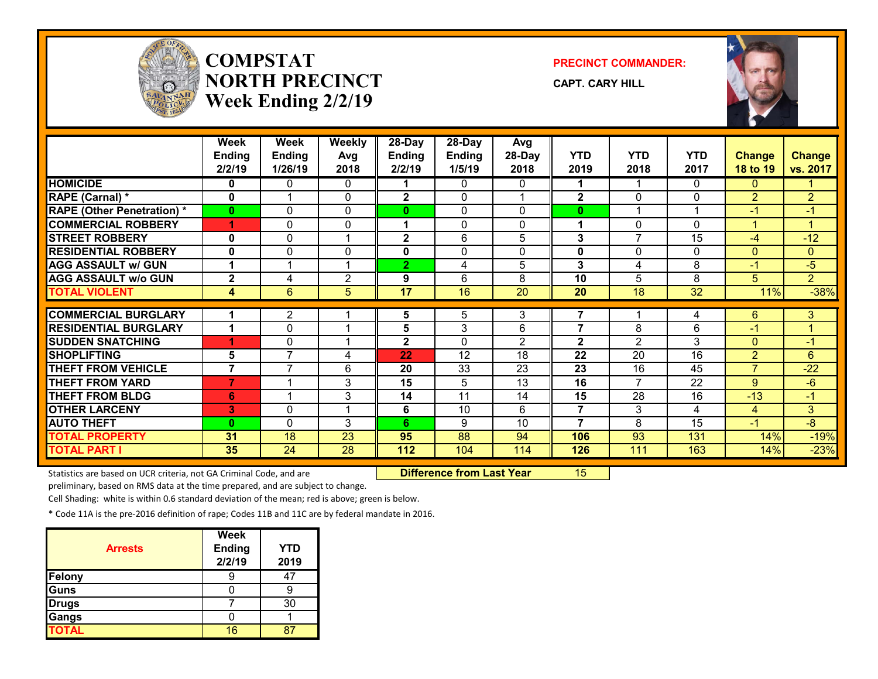

## **COMPSTATNORTH PRECINCTWeek Ending 2/2/19**

**PRECINCT COMMANDER:**

**CAPT. CARY HILL**



|                                   | <b>Week</b><br><b>Ending</b><br>2/2/19 | <b>Week</b><br><b>Ending</b><br>1/26/19 | Weekly<br>Avg<br>2018   | 28-Day<br><b>Ending</b><br>2/2/19 | 28-Day<br><b>Ending</b><br>1/5/19 | Avg<br>28-Day<br>2018 | <b>YTD</b><br>2019 | <b>YTD</b><br>2018 | <b>YTD</b><br>2017 | <b>Change</b><br>18 to 19 | <b>Change</b><br>vs. 2017 |
|-----------------------------------|----------------------------------------|-----------------------------------------|-------------------------|-----------------------------------|-----------------------------------|-----------------------|--------------------|--------------------|--------------------|---------------------------|---------------------------|
| <b>HOMICIDE</b>                   | 0                                      | 0                                       | 0                       |                                   | $\Omega$                          | 0                     | 1                  | 1                  | $\Omega$           | $\Omega$                  |                           |
| RAPE (Carnal) *                   | 0                                      | $\overline{\mathbf{A}}$                 | 0                       | $\mathbf{2}$                      | $\Omega$                          |                       | $\mathbf{2}$       | $\Omega$           | $\mathbf{0}$       | $\overline{2}$            | $\overline{2}$            |
| <b>RAPE (Other Penetration) *</b> | $\bf{0}$                               | $\Omega$                                | $\Omega$                | $\mathbf{0}$                      | $\Omega$                          | 0                     | $\bf{0}$           | 1                  |                    | -1                        | $-1$                      |
| <b>COMMERCIAL ROBBERY</b>         | 1                                      | $\Omega$                                | $\Omega$                | 1                                 | $\Omega$                          | $\Omega$              | 1                  | 0                  | $\Omega$           |                           | 1                         |
| <b>STREET ROBBERY</b>             | 0                                      | $\Omega$                                | -1                      | $\mathbf{2}$                      | 6                                 | 5                     | 3                  | $\overline{7}$     | 15                 | $-4$                      | $-12$                     |
| <b>RESIDENTIAL ROBBERY</b>        | 0                                      | $\Omega$                                | $\Omega$                | $\mathbf 0$                       | $\mathbf{0}$                      | 0                     | 0                  | $\Omega$           | 0                  | $\mathbf{0}$              | $\mathbf{0}$              |
| <b>AGG ASSAULT w/ GUN</b>         | 1                                      | $\overline{\mathbf{A}}$                 | $\overline{ }$          | $\overline{2}$                    | 4                                 | 5                     | 3                  | 4                  | 8                  | $-1$                      | $-5$                      |
| <b>AGG ASSAULT w/o GUN</b>        | $\mathbf{2}$                           | 4                                       | $\overline{2}$          | 9                                 | 6                                 | 8                     | 10                 | 5                  | 8                  | 5                         | $\overline{2}$            |
| <b>TOTAL VIOLENT</b>              | 4                                      | 6                                       | 5                       | 17                                | 16                                | 20                    | 20                 | 18                 | 32                 | 11%                       | $-38%$                    |
|                                   |                                        |                                         |                         |                                   |                                   |                       |                    |                    |                    |                           |                           |
| <b>COMMERCIAL BURGLARY</b>        |                                        | $\overline{2}$                          |                         | 5                                 | 5                                 | 3                     | $\overline{7}$     |                    | 4                  | 6                         | 3                         |
| <b>RESIDENTIAL BURGLARY</b>       |                                        | 0                                       |                         | 5                                 | 3                                 | 6                     | $\overline{7}$     | 8                  | 6                  | $-1$                      | 1                         |
| <b>SUDDEN SNATCHING</b>           |                                        | 0                                       | $\overline{ }$          | $\mathbf{2}$                      | $\Omega$                          | $\overline{2}$        | $\mathbf{2}$       | 2                  | 3                  | $\mathbf{0}$              | $-1$                      |
| <b>SHOPLIFTING</b>                | 5                                      | $\overline{7}$                          | 4                       | 22                                | $\overline{12}$                   | $\overline{18}$       | 22                 | $\overline{20}$    | $\overline{16}$    | $\overline{2}$            | 6                         |
| <b>THEFT FROM VEHICLE</b>         | $\overline{7}$                         | $\overline{7}$                          | 6                       | 20                                | 33                                | 23                    | 23                 | 16                 | 45                 | $\overline{7}$            | $-22$                     |
| <b>THEFT FROM YARD</b>            | $\overline{7}$                         |                                         | 3                       | 15                                | 5                                 | 13                    | 16                 | $\overline{7}$     | 22                 | 9 <sup>°</sup>            | $-6$                      |
| <b>THEFT FROM BLDG</b>            | 6                                      | $\overline{\mathbf{A}}$                 | 3                       | 14                                | 11                                | 14                    | 15                 | 28                 | 16                 | $-13$                     | $-1$                      |
| <b>OTHER LARCENY</b>              | 3                                      | 0                                       | $\overline{\mathbf{A}}$ | 6                                 | 10                                | 6                     | 7                  | 3                  | 4                  | $\overline{4}$            | 3                         |
| <b>AUTO THEFT</b>                 | $\mathbf{0}$                           | $\Omega$                                | 3                       | 6                                 | 9                                 | 10                    | 7                  | 8                  | $\overline{15}$    | $-1$                      | $-\frac{8}{3}$            |
| <b>TOTAL PROPERTY</b>             | 31                                     | 18                                      | 23                      | 95                                | 88                                | 94                    | 106                | 93                 | 131                | 14%                       | $-19%$                    |
| <b>TOTAL PART I</b>               | 35                                     | 24                                      | 28                      | 112                               | 104                               | 114                   | 126                | 111                | 163                | 14%                       | $-23%$                    |

Statistics are based on UCR criteria, not GA Criminal Code, and are **Difference from Last Year** 15

preliminary, based on RMS data at the time prepared, and are subject to change.

Cell Shading: white is within 0.6 standard deviation of the mean; red is above; green is below.

| <b>Arrests</b> | <b>Week</b><br><b>Ending</b><br>2/2/19 | <b>YTD</b><br>2019 |
|----------------|----------------------------------------|--------------------|
| <b>Felony</b>  |                                        |                    |
| <b>Guns</b>    |                                        |                    |
| <b>Drugs</b>   |                                        | 30                 |
| Gangs          |                                        |                    |
| <b>TOTAL</b>   | 16                                     |                    |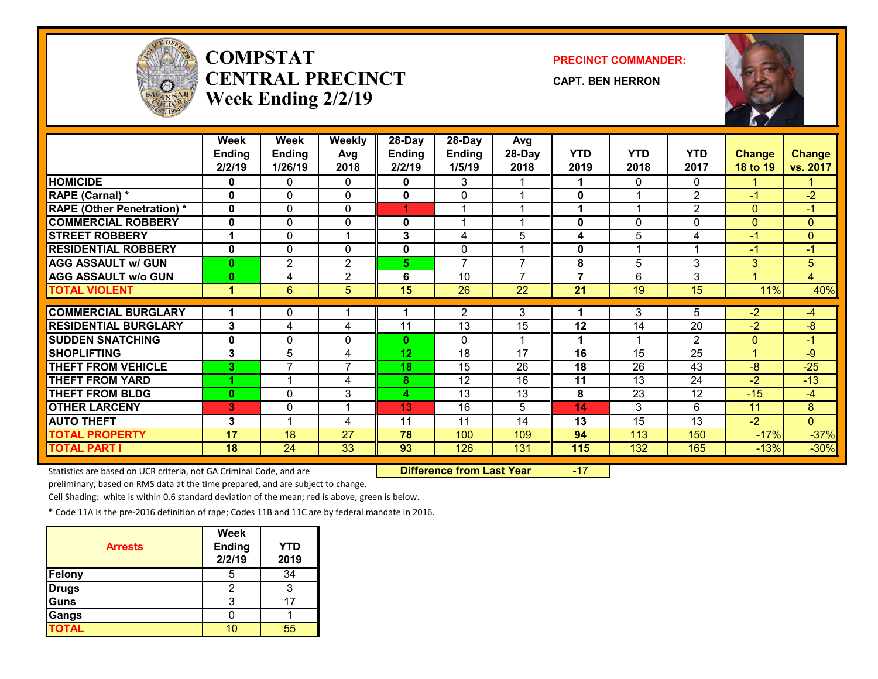

# **COMPSTATCENTRAL PRECINCTWeek Ending 2/2/19**

**PRECINCT COMMANDER:**

**CAPT. BEN HERRON**



|                                   | Week<br><b>Ending</b><br>2/2/19 | Week<br><b>Ending</b><br>1/26/19 | Weekly<br>Avg<br>2018 | 28-Day<br><b>Ending</b><br>2/2/19 | 28-Day<br><b>Ending</b><br>1/5/19 | Avg<br>28-Day<br>2018 | <b>YTD</b><br>2019 | <b>YTD</b><br>2018 | <b>YTD</b><br>2017 | <b>Change</b><br>18 to 19 | <b>Change</b><br>vs. 2017 |
|-----------------------------------|---------------------------------|----------------------------------|-----------------------|-----------------------------------|-----------------------------------|-----------------------|--------------------|--------------------|--------------------|---------------------------|---------------------------|
| <b>HOMICIDE</b>                   | 0                               | 0                                | 0                     | 0                                 | 3                                 |                       | 1                  | 0                  | $\Omega$           |                           |                           |
| <b>RAPE (Carnal) *</b>            | $\bf{0}$                        | $\mathbf{0}$                     | $\mathbf{0}$          | 0                                 | $\Omega$                          |                       | $\bf{0}$           | 1                  | $\overline{2}$     | $-1$                      | $-2$                      |
| <b>RAPE (Other Penetration) *</b> | $\mathbf{0}$                    | 0                                | $\mathbf{0}$          | 1                                 |                                   |                       | 1                  | 1                  | 2                  | $\Omega$                  | $-1$                      |
| <b>COMMERCIAL ROBBERY</b>         | $\mathbf{0}$                    | 0                                | 0                     | 0                                 | $\overline{ }$                    |                       | 0                  | 0                  | $\mathbf{0}$       | $\Omega$                  | $\mathbf{0}$              |
| <b>STREET ROBBERY</b>             |                                 | 0                                |                       | 3                                 | 4                                 | 5                     | 4                  | 5                  | 4                  | $-1$                      | $\mathbf{0}$              |
| <b>RESIDENTIAL ROBBERY</b>        | $\mathbf{0}$                    | 0                                | $\mathbf{0}$          | 0                                 | $\mathbf{0}$                      |                       | 0                  | 1                  | 1                  | $-1$                      | $-1$                      |
| <b>AGG ASSAULT w/ GUN</b>         | $\bf{0}$                        | 2                                | 2                     | 5                                 | $\overline{7}$                    | $\overline{7}$        | 8                  | 5                  | 3                  | 3                         | 5                         |
| <b>AGG ASSAULT w/o GUN</b>        | $\bf{0}$                        | 4                                | $\overline{2}$        | 6                                 | 10                                | $\overline{7}$        | $\overline{7}$     | 6                  | 3                  | 4                         | 4                         |
| <b>TOTAL VIOLENT</b>              | $\blacktriangleleft$            | 6                                | 5                     | $\overline{15}$                   | 26                                | 22                    | 21                 | 19                 | 15                 | 11%                       | 40%                       |
|                                   |                                 |                                  |                       |                                   |                                   |                       |                    |                    |                    |                           |                           |
| <b>COMMERCIAL BURGLARY</b>        | 1                               | 0                                |                       |                                   | $\overline{2}$                    | 3                     |                    | 3                  | 5                  | $-2$                      | $-4$                      |
| <b>RESIDENTIAL BURGLARY</b>       | 3                               | 4                                | 4                     | 11                                | 13                                | 15                    | 12                 | 14                 | 20                 | $-2$                      | $-8$                      |
| <b>SUDDEN SNATCHING</b>           | $\bf{0}$                        | 0                                | $\mathbf{0}$          | $\mathbf{0}$                      | $\Omega$                          |                       | 1                  |                    | $\mathfrak{p}$     | $\Omega$                  | $-1$                      |
| <b>SHOPLIFTING</b>                | 3                               | $\overline{5}$                   | 4                     | 12                                | $\overline{18}$                   | $\overline{17}$       | $\overline{16}$    | 15                 | $\overline{25}$    |                           | $-9$                      |
| <b>THEFT FROM VEHICLE</b>         | $\overline{\mathbf{3}}$         | $\overline{7}$                   | $\overline{7}$        | 18                                | 15                                | 26                    | 18                 | 26                 | 43                 | $-8$                      | $-25$                     |
| <b>THEFT FROM YARD</b>            |                                 |                                  | 4                     | 8                                 | $\overline{12}$                   | 16                    | 11                 | 13                 | 24                 | $-2$                      | $-13$                     |
| <b>THEFT FROM BLDG</b>            | $\bf{0}$                        | $\mathbf{0}$                     | 3                     | 4                                 | 13                                | 13                    | 8                  | 23                 | 12                 | $-15$                     | $-4$                      |
| <b>OTHER LARCENY</b>              | 3                               | 0                                |                       | 13                                | 16                                | 5                     | 14                 | 3                  | 6                  | 11                        | 8                         |
| <b>AUTO THEFT</b>                 | 3                               |                                  | 4                     | 11                                | 11                                | 14                    | 13                 | 15                 | 13                 | $-2$                      | $\overline{0}$            |
| <b>TOTAL PROPERTY</b>             | 17                              | 18                               | 27                    | 78                                | 100                               | 109                   | 94                 | 113                | 150                | $-17%$                    | $-37%$                    |
| <b>TOTAL PART I</b>               | 18                              | 24                               | 33                    | 93                                | 126                               | 131                   | 115                | 132                | 165                | $-13%$                    | $-30%$                    |

Statistics are based on UCR criteria, not GA Criminal Code, and are **Difference from Last Year** -17

preliminary, based on RMS data at the time prepared, and are subject to change.

Cell Shading: white is within 0.6 standard deviation of the mean; red is above; green is below.

| <b>Arrests</b> | <b>Week</b><br><b>Ending</b><br>2/2/19 | YTD<br>2019 |
|----------------|----------------------------------------|-------------|
| Felony         |                                        | 34          |
| <b>Drugs</b>   |                                        |             |
| Guns           | 3                                      |             |
| Gangs          |                                        |             |
| <b>TOTAL</b>   |                                        | 55          |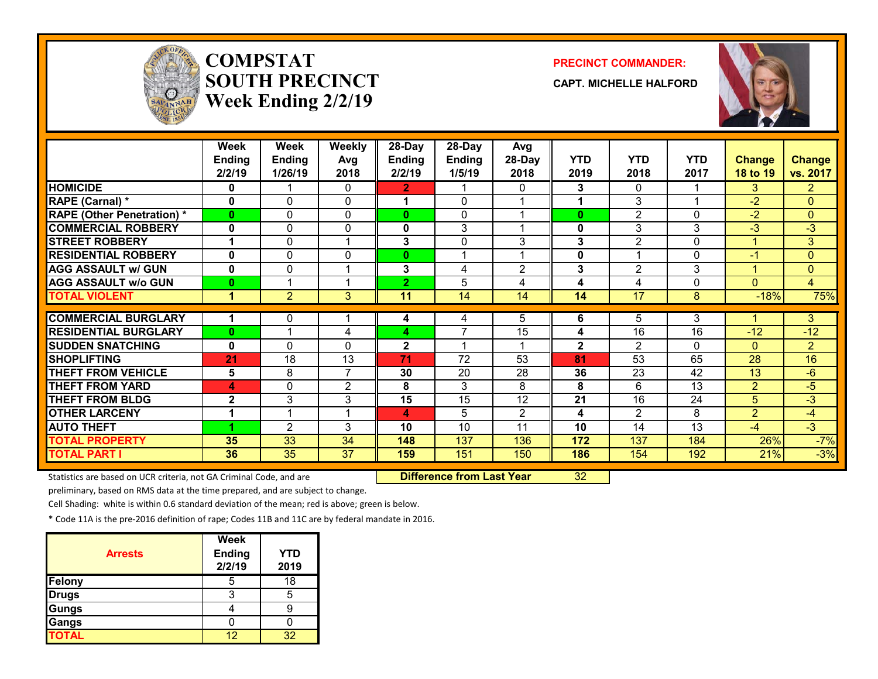

## **COMPSTATSOUTH PRECINCTWeek Ending 2/2/19**

#### **PRECINCT COMMANDER:**

**CAPT. MICHELLE HALFORD**



|                                   | <b>Week</b><br><b>Ending</b><br>2/2/19 | Week<br><b>Ending</b><br>1/26/19 | Weekly<br>Avg<br>2018 | 28-Day<br><b>Ending</b><br>2/2/19 | 28-Day<br><b>Ending</b><br>1/5/19 | Avg<br>28-Day<br>2018 | <b>YTD</b><br>2019 | <b>YTD</b><br>2018 | <b>YTD</b><br>2017 | <b>Change</b><br>18 to 19 | <b>Change</b><br>vs. 2017 |
|-----------------------------------|----------------------------------------|----------------------------------|-----------------------|-----------------------------------|-----------------------------------|-----------------------|--------------------|--------------------|--------------------|---------------------------|---------------------------|
| <b>HOMICIDE</b>                   | 0                                      |                                  | 0                     | 2.                                |                                   | 0                     | 3                  | 0                  |                    | 3                         | $\overline{2}$            |
| <b>RAPE (Carnal) *</b>            | 0                                      | $\Omega$                         | 0                     |                                   | $\Omega$                          |                       |                    | 3                  |                    | $-2$                      | $\overline{0}$            |
| <b>RAPE (Other Penetration) *</b> | 0                                      | 0                                | 0                     | $\mathbf{0}$                      | $\mathbf{0}$                      |                       | $\bf{0}$           | $\overline{2}$     | $\Omega$           | $-2$                      | $\overline{0}$            |
| <b>COMMERCIAL ROBBERY</b>         | 0                                      | 0                                | $\mathbf{0}$          | 0                                 | 3                                 |                       | 0                  | 3                  | 3                  | $-3$                      | $-3$                      |
| <b>STREET ROBBERY</b>             | 1                                      | 0                                | 1                     | 3                                 | 0                                 | 3                     | 3                  | $\overline{2}$     | 0                  |                           | 3                         |
| <b>RESIDENTIAL ROBBERY</b>        | $\mathbf{0}$                           | 0                                | 0                     | 0                                 |                                   |                       | 0                  |                    | 0                  | $-1$                      | $\overline{0}$            |
| <b>AGG ASSAULT w/ GUN</b>         | $\mathbf{0}$                           | 0                                | 1                     | 3                                 | 4                                 | 2                     | 3                  | $\overline{2}$     | 3                  |                           | $\overline{0}$            |
| <b>AGG ASSAULT w/o GUN</b>        | $\bf{0}$                               |                                  | 1                     | $\mathbf{2}$                      | 5                                 | 4                     | 4                  | 4                  | 0                  | $\Omega$                  | $\overline{4}$            |
| <b>TOTAL VIOLENT</b>              | 1                                      | $\overline{2}$                   | 3                     | 11                                | 14                                | 14                    | 14                 | $\overline{17}$    | 8                  | $-18%$                    | 75%                       |
|                                   |                                        |                                  |                       |                                   |                                   |                       |                    |                    |                    |                           |                           |
| <b>COMMERCIAL BURGLARY</b>        | 1                                      | 0                                |                       | 4                                 | 4                                 | 5                     | 6                  | 5                  | 3                  |                           | 3                         |
| <b>RESIDENTIAL BURGLARY</b>       | $\mathbf{0}$                           |                                  | 4                     | 4                                 | $\overline{7}$                    | 15                    | 4                  | 16                 | 16                 | $-12$                     | $-12$                     |
| <b>SUDDEN SNATCHING</b>           | $\bf{0}$                               | 0                                | 0                     | $\mathbf{2}$                      |                                   |                       | $\mathbf{2}$       | $\overline{2}$     | $\mathbf{0}$       | $\Omega$                  | $\overline{2}$            |
| <b>SHOPLIFTING</b>                | 21                                     | 18                               | 13                    | 71                                | 72                                | 53                    | 81                 | 53                 | 65                 | 28                        | 16                        |
| <b>THEFT FROM VEHICLE</b>         | 5                                      | 8                                | $\overline{7}$        | 30                                | 20                                | 28                    | 36                 | 23                 | 42                 | 13                        | $-6$                      |
| <b>THEFT FROM YARD</b>            | 4                                      | 0                                | 2                     | 8                                 | 3                                 | 8                     | 8                  | 6                  | 13                 | $\overline{2}$            | -5                        |
| <b>THEFT FROM BLDG</b>            | $\mathbf{2}$                           | 3                                | 3                     | 15                                | 15                                | $\overline{12}$       | $\overline{21}$    | 16                 | 24                 | 5                         | -3                        |
| <b>OTHER LARCENY</b>              | 1                                      |                                  | 1                     | 4                                 | 5                                 | $\overline{2}$        | 4                  | $\overline{2}$     | 8                  | $\overline{2}$            | $-4$                      |
| <b>AUTO THEFT</b>                 |                                        | $\overline{2}$                   | 3                     | 10                                | 10                                | 11                    | 10                 | 14                 | 13                 | $-4$                      | $-3$                      |
| <b>TOTAL PROPERTY</b>             | 35                                     | 33                               | 34                    | 148                               | 137                               | 136                   | 172                | 137                | 184                | 26%                       | $-7%$                     |
| <b>TOTAL PART I</b>               | 36                                     | 35                               | 37                    | 159                               | 151                               | 150                   | 186                | 154                | 192                | 21%                       | $-3%$                     |

Statistics are based on UCR criteria, not GA Criminal Code, and are **Difference from Last Year** 32

preliminary, based on RMS data at the time prepared, and are subject to change.

Cell Shading: white is within 0.6 standard deviation of the mean; red is above; green is below.

| <b>Arrests</b> | <b>Week</b><br><b>Ending</b><br>2/2/19 | <b>YTD</b><br>2019 |
|----------------|----------------------------------------|--------------------|
| Felony         | 5                                      | 18                 |
| <b>Drugs</b>   | З                                      | 5                  |
| Gungs          |                                        |                    |
| Gangs          |                                        |                    |
| <b>TOTAL</b>   | 12                                     | 32                 |